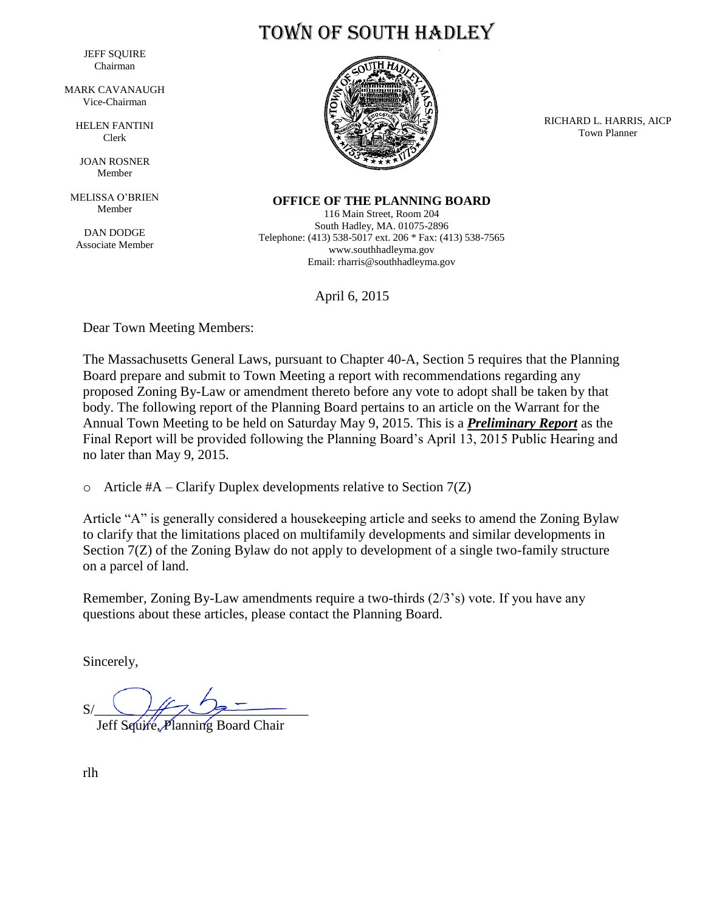JEFF SQUIRE Chairman

MARK CAVANAUGH Vice-Chairman

> HELEN FANTINI Clerk

JOAN ROSNER Member

MELISSA O'BRIEN Member

DAN DODGE Associate Member



Town of South Hadley

RICHARD L. HARRIS, AICP Town Planner

**OFFICE OF THE PLANNING BOARD**

116 Main Street, Room 204 South Hadley, MA. 01075-2896 Telephone: (413) 538-5017 ext. 206 \* Fax: (413) 538-7565 www.southhadleyma.gov Email: rharris@southhadleyma.gov

April 6, 2015

Dear Town Meeting Members:

The Massachusetts General Laws, pursuant to Chapter 40-A, Section 5 requires that the Planning Board prepare and submit to Town Meeting a report with recommendations regarding any proposed Zoning By-Law or amendment thereto before any vote to adopt shall be taken by that body. The following report of the Planning Board pertains to an article on the Warrant for the Annual Town Meeting to be held on Saturday May 9, 2015. This is a *Preliminary Report* as the Final Report will be provided following the Planning Board's April 13, 2015 Public Hearing and no later than May 9, 2015.

 $\circ$  Article #A – Clarify Duplex developments relative to Section 7(Z)

Article "A" is generally considered a housekeeping article and seeks to amend the Zoning Bylaw to clarify that the limitations placed on multifamily developments and similar developments in Section 7(Z) of the Zoning Bylaw do not apply to development of a single two-family structure on a parcel of land.

Remember, Zoning By-Law amendments require a two-thirds (2/3's) vote. If you have any questions about these articles, please contact the Planning Board.

Sincerely,

 $S/\sqrt{H^2+H^2}$ 

Jeff Squire, Planning Board Chair

rlh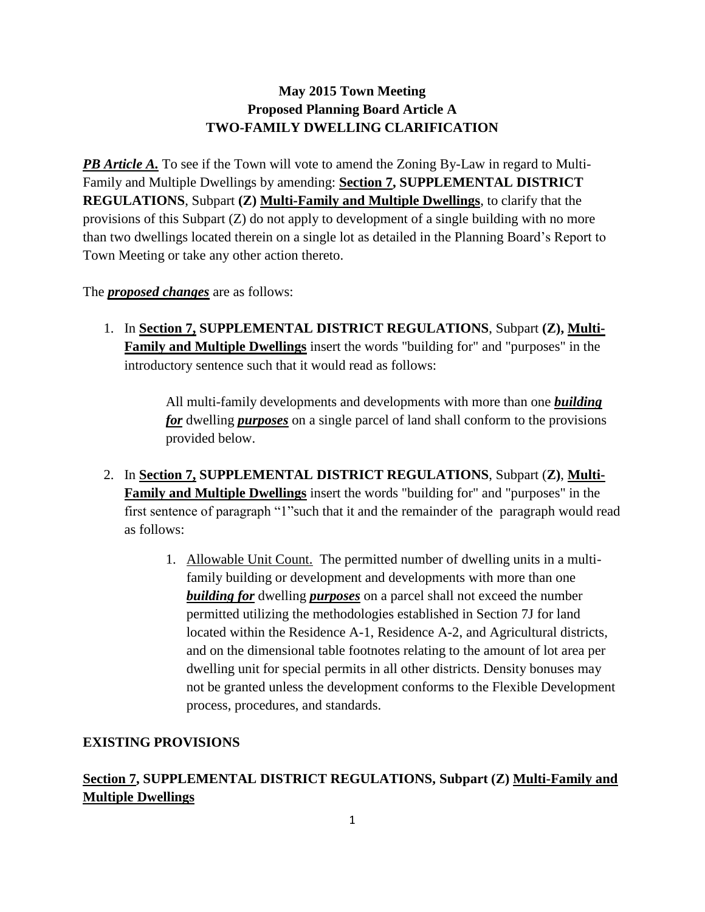## **May 2015 Town Meeting Proposed Planning Board Article A TWO-FAMILY DWELLING CLARIFICATION**

*PB Article A.* To see if the Town will vote to amend the Zoning By-Law in regard to Multi-Family and Multiple Dwellings by amending: **Section 7, SUPPLEMENTAL DISTRICT REGULATIONS**, Subpart **(Z) Multi-Family and Multiple Dwellings**, to clarify that the provisions of this Subpart (Z) do not apply to development of a single building with no more than two dwellings located therein on a single lot as detailed in the Planning Board's Report to Town Meeting or take any other action thereto.

The *proposed changes* are as follows:

1. In **Section 7, SUPPLEMENTAL DISTRICT REGULATIONS**, Subpart **(Z), Multi-Family and Multiple Dwellings** insert the words "building for" and "purposes" in the introductory sentence such that it would read as follows:

> All multi-family developments and developments with more than one *building for* dwelling *purposes* on a single parcel of land shall conform to the provisions provided below.

- 2. In **Section 7, SUPPLEMENTAL DISTRICT REGULATIONS**, Subpart (**Z)**, **Multi-Family and Multiple Dwellings** insert the words "building for" and "purposes" in the first sentence of paragraph "1"such that it and the remainder of the paragraph would read as follows:
	- 1. Allowable Unit Count. The permitted number of dwelling units in a multifamily building or development and developments with more than one *building for* dwelling *purposes* on a parcel shall not exceed the number permitted utilizing the methodologies established in Section 7J for land located within the Residence A-1, Residence A-2, and Agricultural districts, and on the dimensional table footnotes relating to the amount of lot area per dwelling unit for special permits in all other districts. Density bonuses may not be granted unless the development conforms to the Flexible Development process, procedures, and standards.

## **EXISTING PROVISIONS**

**Section 7, SUPPLEMENTAL DISTRICT REGULATIONS, Subpart (Z) Multi-Family and Multiple Dwellings**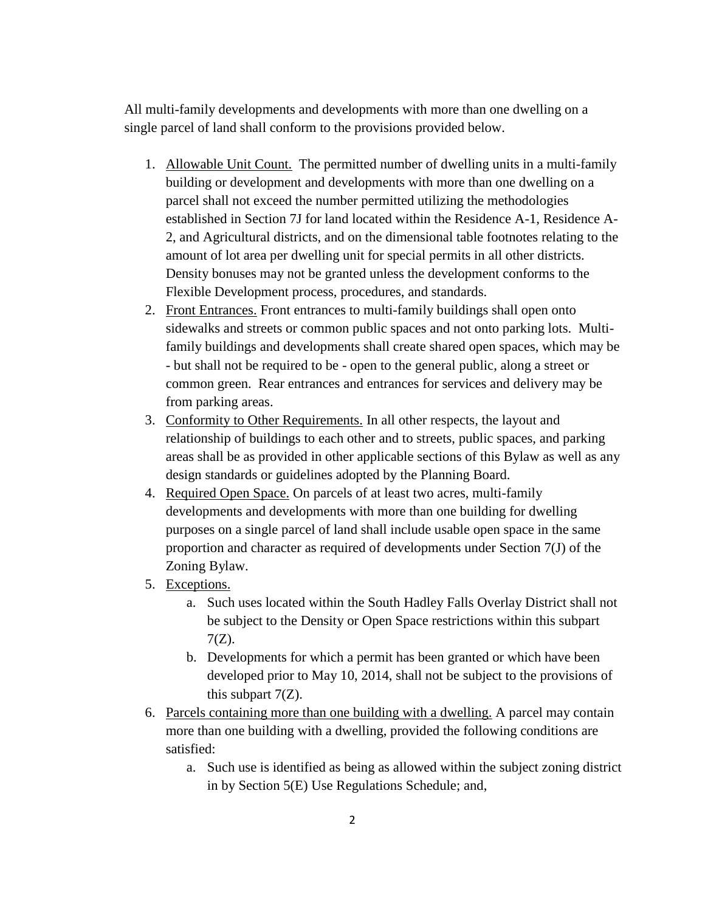All multi-family developments and developments with more than one dwelling on a single parcel of land shall conform to the provisions provided below.

- 1. Allowable Unit Count. The permitted number of dwelling units in a multi-family building or development and developments with more than one dwelling on a parcel shall not exceed the number permitted utilizing the methodologies established in Section 7J for land located within the Residence A-1, Residence A-2, and Agricultural districts, and on the dimensional table footnotes relating to the amount of lot area per dwelling unit for special permits in all other districts. Density bonuses may not be granted unless the development conforms to the Flexible Development process, procedures, and standards.
- 2. Front Entrances. Front entrances to multi-family buildings shall open onto sidewalks and streets or common public spaces and not onto parking lots. Multifamily buildings and developments shall create shared open spaces, which may be - but shall not be required to be - open to the general public, along a street or common green. Rear entrances and entrances for services and delivery may be from parking areas.
- 3. Conformity to Other Requirements. In all other respects, the layout and relationship of buildings to each other and to streets, public spaces, and parking areas shall be as provided in other applicable sections of this Bylaw as well as any design standards or guidelines adopted by the Planning Board.
- 4. Required Open Space. On parcels of at least two acres, multi-family developments and developments with more than one building for dwelling purposes on a single parcel of land shall include usable open space in the same proportion and character as required of developments under Section 7(J) of the Zoning Bylaw.
- 5. Exceptions.
	- a. Such uses located within the South Hadley Falls Overlay District shall not be subject to the Density or Open Space restrictions within this subpart 7(Z).
	- b. Developments for which a permit has been granted or which have been developed prior to May 10, 2014, shall not be subject to the provisions of this subpart  $7(Z)$ .
- 6. Parcels containing more than one building with a dwelling. A parcel may contain more than one building with a dwelling, provided the following conditions are satisfied:
	- a. Such use is identified as being as allowed within the subject zoning district in by Section 5(E) Use Regulations Schedule; and,